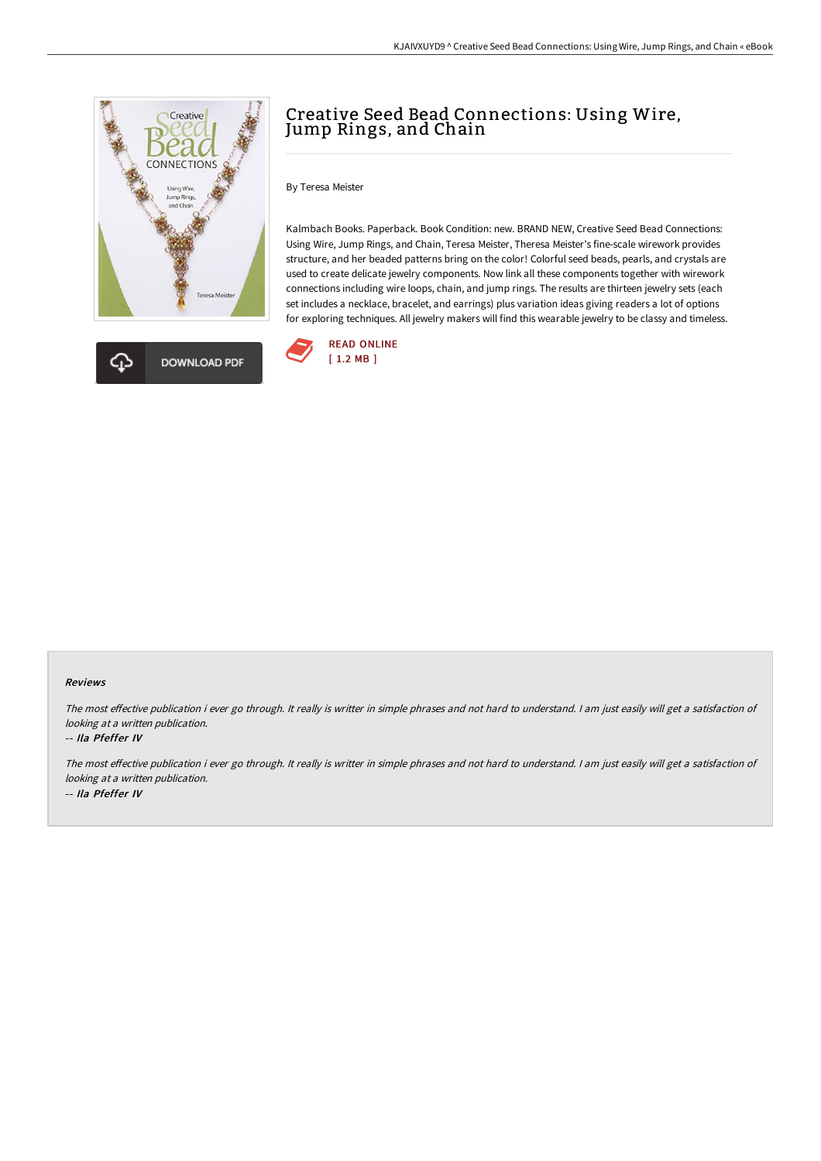

# Creative Seed Bead Connections: Using Wire, Jump Rings, and Chain

## By Teresa Meister

Kalmbach Books. Paperback. Book Condition: new. BRAND NEW, Creative Seed Bead Connections: Using Wire, Jump Rings, and Chain, Teresa Meister, Theresa Meister's fine-scale wirework provides structure, and her beaded patterns bring on the color! Colorful seed beads, pearls, and crystals are used to create delicate jewelry components. Now link all these components together with wirework connections including wire loops, chain, and jump rings. The results are thirteen jewelry sets (each set includes a necklace, bracelet, and earrings) plus variation ideas giving readers a lot of options for exploring techniques. All jewelry makers will find this wearable jewelry to be classy and timeless.



#### Reviews

The most effective publication i ever go through. It really is writter in simple phrases and not hard to understand. I am just easily will get a satisfaction of looking at <sup>a</sup> written publication.

### -- Ila Pfeffer IV

The most effective publication i ever go through. It really is writter in simple phrases and not hard to understand. I am just easily will get a satisfaction of looking at <sup>a</sup> written publication. -- Ila Pfeffer IV